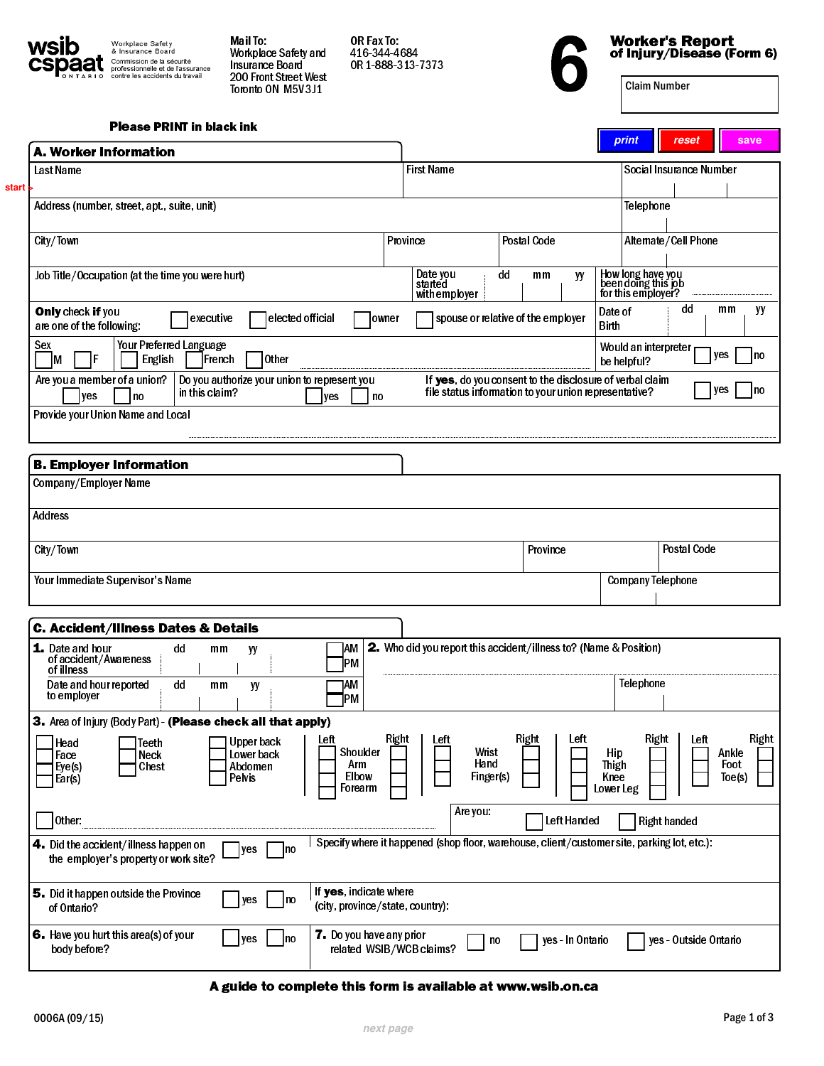<span id="page-0-0"></span>

Workplace Safety<br>& Insurance Board<br>Commission de la sécurité<br>professionnelle et de l'assurance<br>contre les accidents du travail Mail To: Workplace Safety and Insurance Board 200 Front Street West Toronto ON M5V 3J1

OR Fax To: 416-344-4684 OR 1-888-313-7373



Worker's Report Worker's Report<br>of Injury/Disease (Form 6)<br>Claim Number

| <b>Please PRINT in black ink</b> |  |  |  |
|----------------------------------|--|--|--|
|----------------------------------|--|--|--|

| A. Worker Information                                                                                                                                                     |                                                                                             |                                                                                                                   |                                                  | print                                                          | reset                    | save                             |
|---------------------------------------------------------------------------------------------------------------------------------------------------------------------------|---------------------------------------------------------------------------------------------|-------------------------------------------------------------------------------------------------------------------|--------------------------------------------------|----------------------------------------------------------------|--------------------------|----------------------------------|
| <b>First Name</b><br><b>Last Name</b>                                                                                                                                     |                                                                                             |                                                                                                                   |                                                  |                                                                | Social Insurance Number  |                                  |
| Address (number, street, apt., suite, unit)                                                                                                                               |                                                                                             |                                                                                                                   |                                                  | Telephone                                                      |                          |                                  |
| City/Town                                                                                                                                                                 | Province                                                                                    | <b>Postal Code</b>                                                                                                |                                                  |                                                                | Alternate/Cell Phone     |                                  |
| Job Title/Occupation (at the time you were hurt)                                                                                                                          | Date you<br>started                                                                         | dd<br>mm                                                                                                          | yy                                               |                                                                |                          |                                  |
|                                                                                                                                                                           | with employer                                                                               |                                                                                                                   |                                                  | How long have you<br>been doing this job<br>for this employer? |                          |                                  |
| Only check if you<br>elected official<br>executive<br>owner<br>are one of the following:                                                                                  |                                                                                             | spouse or relative of the employer                                                                                | Date of<br><b>Birth</b>                          |                                                                | dd                       | mm<br>yy                         |
| Your Preferred Language<br>Sex<br>other <br>IF<br>Iм<br>English<br>French                                                                                                 |                                                                                             |                                                                                                                   |                                                  | Would an interpreter<br>be helpful?                            |                          | yes<br> no                       |
| Are you a member of a union?<br>Do you authorize your union to represent you<br>in this claim?<br><b>yes</b><br>l no<br>no<br>yes                                         |                                                                                             | If yes, do you consent to the disclosure of verbal claim<br>file status information to your union representative? |                                                  |                                                                |                          | yes<br>Ino                       |
| Provide your Union Name and Local                                                                                                                                         |                                                                                             |                                                                                                                   |                                                  |                                                                |                          |                                  |
| <b>B. Employer Information</b>                                                                                                                                            |                                                                                             |                                                                                                                   |                                                  |                                                                |                          |                                  |
| Company/Employer Name                                                                                                                                                     |                                                                                             |                                                                                                                   |                                                  |                                                                |                          |                                  |
| <b>Address</b>                                                                                                                                                            |                                                                                             |                                                                                                                   |                                                  |                                                                |                          |                                  |
|                                                                                                                                                                           |                                                                                             |                                                                                                                   |                                                  |                                                                |                          |                                  |
|                                                                                                                                                                           |                                                                                             |                                                                                                                   |                                                  |                                                                |                          |                                  |
|                                                                                                                                                                           |                                                                                             | Province                                                                                                          |                                                  |                                                                | <b>Postal Code</b>       |                                  |
| City/Town<br>Your Immediate Supervisor's Name                                                                                                                             |                                                                                             |                                                                                                                   |                                                  |                                                                | <b>Company Telephone</b> |                                  |
|                                                                                                                                                                           |                                                                                             |                                                                                                                   |                                                  |                                                                |                          |                                  |
|                                                                                                                                                                           |                                                                                             |                                                                                                                   |                                                  |                                                                |                          |                                  |
| <b>C. Accident/Illness Dates &amp; Details</b><br>]AM<br><b>1.</b> Date and hour<br>dd<br>mm<br>yy<br>of accident/Awareness                                               | 2. Who did you report this accident/illness to? (Name & Position)                           |                                                                                                                   |                                                  |                                                                |                          |                                  |
| PM<br>ofillness<br>dd<br>mm                                                                                                                                               |                                                                                             |                                                                                                                   |                                                  | Telephone                                                      |                          |                                  |
| Date and hour reported<br><b>JAM</b><br>yy<br>to employer<br>lРM                                                                                                          |                                                                                             |                                                                                                                   |                                                  |                                                                |                          |                                  |
| 3. Area of Injury (Body Part) - (Please check all that apply)                                                                                                             |                                                                                             |                                                                                                                   |                                                  |                                                                |                          |                                  |
| Left<br><b>Upper back</b><br>Teeth<br>Head<br>Shoulder<br>Lower back<br>Neck<br>Face<br>Arm<br>Abdomen<br>Chest<br> Eye(s)<br>Elbow<br>Pelvis<br>Ear(s)<br>Forearm        | Right<br>Left<br>Wrist<br>Hand<br>Finger(s)                                                 | Right                                                                                                             | Left<br>Hip<br><b>Thigh</b><br>Knee<br>Lower Leg | Right                                                          | Left                     | Right<br>Ankle<br>Foot<br>Toe(s) |
| Other:                                                                                                                                                                    | Are you:                                                                                    | Left Handed                                                                                                       |                                                  |                                                                | <b>Right handed</b>      |                                  |
| yes<br> no<br>the employer's property or work site?                                                                                                                       | Specify where it happened (shop floor, warehouse, client/customer site, parking lot, etc.): |                                                                                                                   |                                                  |                                                                |                          |                                  |
| 4. Did the accident/illness happen on<br>If yes, indicate where<br>5. Did it happen outside the Province<br>ves<br> no<br>(city, province/state, country):<br>of Ontario? |                                                                                             |                                                                                                                   |                                                  |                                                                |                          |                                  |

A guide to complete this form is available at www.wsib.on.ca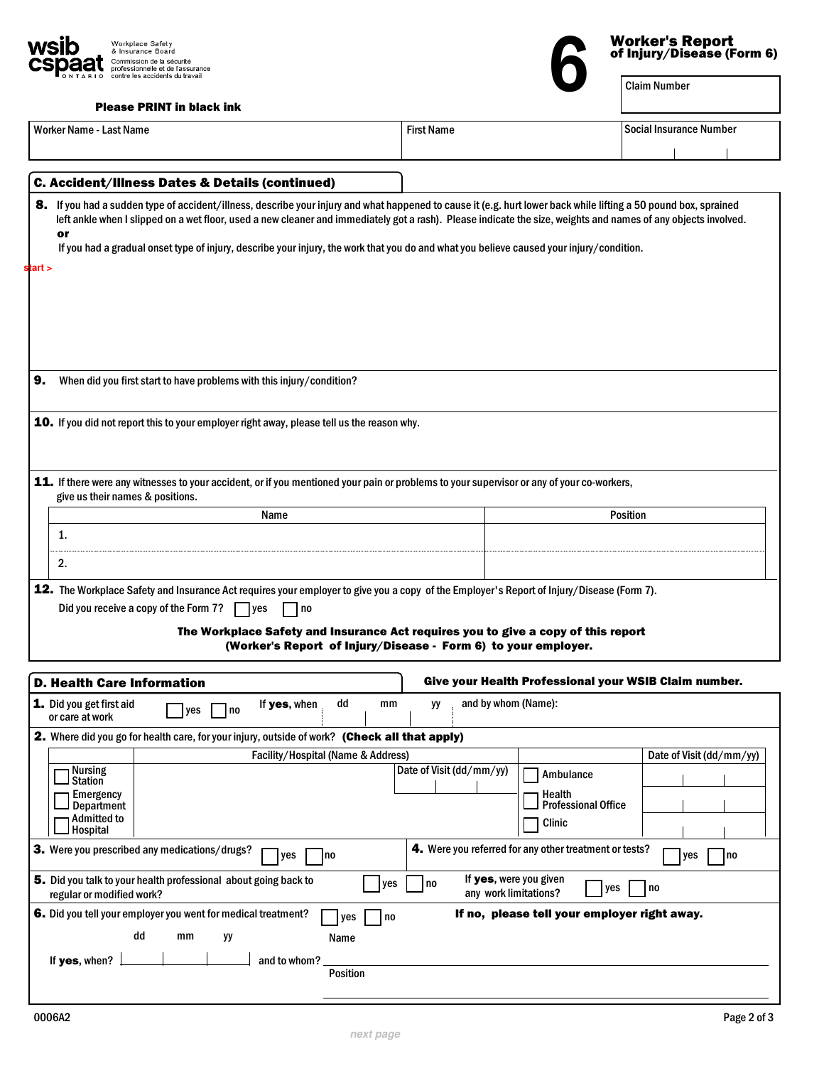<span id="page-1-0"></span>

Please PRINT in black ink

| PIEASE PRINT IN DIACK INK                                                                                                                                                                                                                                                                                                                |                                                                                                                                                     |
|------------------------------------------------------------------------------------------------------------------------------------------------------------------------------------------------------------------------------------------------------------------------------------------------------------------------------------------|-----------------------------------------------------------------------------------------------------------------------------------------------------|
| Worker Name - Last Name                                                                                                                                                                                                                                                                                                                  | <b>First Name</b><br>Social Insurance Number                                                                                                        |
|                                                                                                                                                                                                                                                                                                                                          |                                                                                                                                                     |
| C. Accident/Illness Dates & Details (continued)                                                                                                                                                                                                                                                                                          |                                                                                                                                                     |
| 8. If you had a sudden type of accident/illness, describe your injury and what happened to cause it (e.g. hurt lower back while lifting a 50 pound box, sprained<br>left ankle when I slipped on a wet floor, used a new cleaner and immediately got a rash). Please indicate the size, weights and names of any objects involved.<br>or |                                                                                                                                                     |
| If you had a gradual onset type of injury, describe your injury, the work that you do and what you believe caused your injury/condition.                                                                                                                                                                                                 |                                                                                                                                                     |
| start >                                                                                                                                                                                                                                                                                                                                  |                                                                                                                                                     |
|                                                                                                                                                                                                                                                                                                                                          |                                                                                                                                                     |
|                                                                                                                                                                                                                                                                                                                                          |                                                                                                                                                     |
|                                                                                                                                                                                                                                                                                                                                          |                                                                                                                                                     |
|                                                                                                                                                                                                                                                                                                                                          |                                                                                                                                                     |
|                                                                                                                                                                                                                                                                                                                                          |                                                                                                                                                     |
| When did you first start to have problems with this injury/condition?<br>9.                                                                                                                                                                                                                                                              |                                                                                                                                                     |
|                                                                                                                                                                                                                                                                                                                                          |                                                                                                                                                     |
| 10. If you did not report this to your employer right away, please tell us the reason why.                                                                                                                                                                                                                                               |                                                                                                                                                     |
|                                                                                                                                                                                                                                                                                                                                          |                                                                                                                                                     |
|                                                                                                                                                                                                                                                                                                                                          |                                                                                                                                                     |
|                                                                                                                                                                                                                                                                                                                                          |                                                                                                                                                     |
| 11. If there were any witnesses to your accident, or if you mentioned your pain or problems to your supervisor or any of your co-workers,<br>give us their names & positions.                                                                                                                                                            |                                                                                                                                                     |
| Name                                                                                                                                                                                                                                                                                                                                     | <b>Position</b>                                                                                                                                     |
| 1.                                                                                                                                                                                                                                                                                                                                       |                                                                                                                                                     |
|                                                                                                                                                                                                                                                                                                                                          |                                                                                                                                                     |
| 2.                                                                                                                                                                                                                                                                                                                                       |                                                                                                                                                     |
| 12. The Workplace Safety and Insurance Act requires your employer to give you a copy of the Employer's Report of Injury/Disease (Form 7).                                                                                                                                                                                                |                                                                                                                                                     |
| Did you receive a copy of the Form 7?<br>l ves<br>  no                                                                                                                                                                                                                                                                                   |                                                                                                                                                     |
|                                                                                                                                                                                                                                                                                                                                          |                                                                                                                                                     |
|                                                                                                                                                                                                                                                                                                                                          | The Workplace Safety and Insurance Act requires you to give a copy of this report<br>(Worker's Report of Injury/Disease - Form 6) to your employer. |
|                                                                                                                                                                                                                                                                                                                                          |                                                                                                                                                     |
| <b>D. Health Care Information</b>                                                                                                                                                                                                                                                                                                        | Give your Health Professional your WSIB Claim number.                                                                                               |
| 1. Did you get first aid<br>dd<br>If yes, when<br>mm                                                                                                                                                                                                                                                                                     | and by whom (Name):<br>уy                                                                                                                           |
| $\Box$ yes $\Box$ no<br>or care at work                                                                                                                                                                                                                                                                                                  |                                                                                                                                                     |
| 2. Where did you go for health care, for your injury, outside of work? (Check all that apply)                                                                                                                                                                                                                                            |                                                                                                                                                     |
| Facility/Hospital (Name & Address)                                                                                                                                                                                                                                                                                                       | Date of Visit (dd/mm/yy)                                                                                                                            |
| <b>Nursing</b>                                                                                                                                                                                                                                                                                                                           | Date of Visit (dd/mm/yy)<br>Ambulance                                                                                                               |
| <b>Station</b><br><b>Emergency</b>                                                                                                                                                                                                                                                                                                       | Health                                                                                                                                              |
| Department                                                                                                                                                                                                                                                                                                                               | <b>Professional Office</b>                                                                                                                          |
| Admitted to<br>Hospital                                                                                                                                                                                                                                                                                                                  | Clinic                                                                                                                                              |
| 3. Were you prescribed any medications/drugs?<br>Ino<br>yes                                                                                                                                                                                                                                                                              | 4. Were you referred for any other treatment or tests?<br>yes<br> no                                                                                |
| 5. Did you talk to your health professional about going back to<br>yes<br>regular or modified work?                                                                                                                                                                                                                                      | If yes, were you given<br>no<br> yes<br>  no<br>any work limitations?                                                                               |
| 6. Did you tell your employer you went for medical treatment?<br>yes<br>no                                                                                                                                                                                                                                                               | If no, please tell your employer right away.                                                                                                        |
| dd<br>mm<br>уу<br>Name                                                                                                                                                                                                                                                                                                                   |                                                                                                                                                     |
| If yes, when?<br>and to whom?                                                                                                                                                                                                                                                                                                            |                                                                                                                                                     |
| <b>Position</b>                                                                                                                                                                                                                                                                                                                          |                                                                                                                                                     |

**Worker's Report<br>
of Injury/Disease (Form 6)<br>
Claim Number**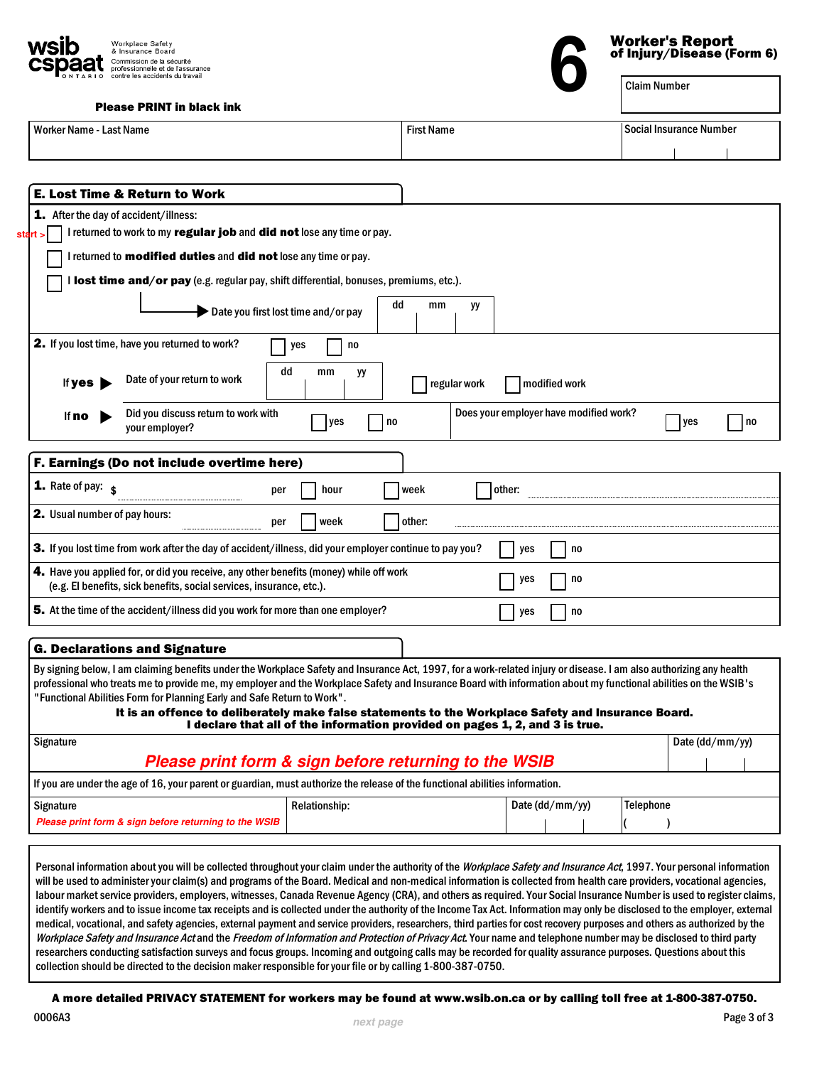

| <b>Please PRINT in black ink</b> |  |  |
|----------------------------------|--|--|
|                                  |  |  |

| <b>Worker Name - Last Name</b>                                                                                                                                                                                                                                                                                                         |                      | <b>First Name</b> |        |                                        |                  | <b>Social Insurance Number</b> |      |
|----------------------------------------------------------------------------------------------------------------------------------------------------------------------------------------------------------------------------------------------------------------------------------------------------------------------------------------|----------------------|-------------------|--------|----------------------------------------|------------------|--------------------------------|------|
|                                                                                                                                                                                                                                                                                                                                        |                      |                   |        |                                        |                  |                                |      |
|                                                                                                                                                                                                                                                                                                                                        |                      |                   |        |                                        |                  |                                |      |
| <b>E. Lost Time &amp; Return to Work</b>                                                                                                                                                                                                                                                                                               |                      |                   |        |                                        |                  |                                |      |
| 1. After the day of accident/illness:                                                                                                                                                                                                                                                                                                  |                      |                   |        |                                        |                  |                                |      |
| I returned to work to my regular job and did not lose any time or pay.<br>start                                                                                                                                                                                                                                                        |                      |                   |        |                                        |                  |                                |      |
| I returned to modified duties and did not lose any time or pay.                                                                                                                                                                                                                                                                        |                      |                   |        |                                        |                  |                                |      |
| I lost time and/or pay (e.g. regular pay, shift differential, bonuses, premiums, etc.).                                                                                                                                                                                                                                                |                      |                   |        |                                        |                  |                                |      |
|                                                                                                                                                                                                                                                                                                                                        |                      | dd<br>mm          | yy     |                                        |                  |                                |      |
| Date you first lost time and/or pay                                                                                                                                                                                                                                                                                                    |                      |                   |        |                                        |                  |                                |      |
| 2. If you lost time, have you returned to work?                                                                                                                                                                                                                                                                                        | no<br>yes            |                   |        |                                        |                  |                                |      |
| dd                                                                                                                                                                                                                                                                                                                                     | mm<br>yу             |                   |        |                                        |                  |                                |      |
| Date of your return to work<br>If yes                                                                                                                                                                                                                                                                                                  |                      | regular work      |        | modified work                          |                  |                                |      |
| Did you discuss return to work with<br>lf <b>no</b>                                                                                                                                                                                                                                                                                    |                      |                   |        | Does your employer have modified work? |                  |                                |      |
| your employer?                                                                                                                                                                                                                                                                                                                         | yes                  | no                |        |                                        |                  | l yes                          | l no |
|                                                                                                                                                                                                                                                                                                                                        |                      |                   |        |                                        |                  |                                |      |
| F. Earnings (Do not include overtime here)                                                                                                                                                                                                                                                                                             |                      |                   |        |                                        |                  |                                |      |
| <b>1.</b> Rate of pay: $\boldsymbol{s}$<br>per                                                                                                                                                                                                                                                                                         | hour                 | week              | other: |                                        |                  |                                |      |
| 2. Usual number of pay hours:<br>per                                                                                                                                                                                                                                                                                                   | week                 | other:            |        |                                        |                  |                                |      |
| 3. If you lost time from work after the day of accident/illness, did your employer continue to pay you?                                                                                                                                                                                                                                |                      |                   | yes    | no                                     |                  |                                |      |
| 4. Have you applied for, or did you receive, any other benefits (money) while off work<br>(e.g. El benefits, sick benefits, social services, insurance, etc.).                                                                                                                                                                         |                      |                   | yes    | no                                     |                  |                                |      |
| 5. At the time of the accident/illness did you work for more than one employer?                                                                                                                                                                                                                                                        |                      |                   | yes    | no                                     |                  |                                |      |
|                                                                                                                                                                                                                                                                                                                                        |                      |                   |        |                                        |                  |                                |      |
| <b>G. Declarations and Signature</b>                                                                                                                                                                                                                                                                                                   |                      |                   |        |                                        |                  |                                |      |
| By signing below, I am claiming benefits under the Workplace Safety and Insurance Act, 1997, for a work-related injury or disease. I am also authorizing any health<br>professional who treats me to provide me, my employer and the Workplace Safety and Insurance Board with information about my functional abilities on the WSIB's |                      |                   |        |                                        |                  |                                |      |
| "Functional Abilities Form for Planning Early and Safe Return to Work".                                                                                                                                                                                                                                                                |                      |                   |        |                                        |                  |                                |      |
| It is an offence to deliberately make false statements to the Workplace Safety and Insurance Board.<br>I declare that all of the information provided on pages 1, 2, and 3 is true.                                                                                                                                                    |                      |                   |        |                                        |                  |                                |      |
| Signature                                                                                                                                                                                                                                                                                                                              |                      |                   |        |                                        |                  | Date (dd/mm/yy)                |      |
| Please print form & sign before returning to the WSIB                                                                                                                                                                                                                                                                                  |                      |                   |        |                                        |                  |                                |      |
| If you are under the age of 16, your parent or guardian, must authorize the release of the functional abilities information.                                                                                                                                                                                                           |                      |                   |        |                                        |                  |                                |      |
|                                                                                                                                                                                                                                                                                                                                        | <b>Relationship:</b> |                   |        | Date (dd/mm/yy)                        | <b>Telephone</b> |                                |      |
| <b>Signature</b>                                                                                                                                                                                                                                                                                                                       |                      |                   |        |                                        |                  |                                |      |

labour market service providers, employers, witnesses, Canada Revenue Agency (CRA), and others as required. Your Social Insurance Number is used to register claims, identify workers and to issue income tax receipts and is collected under the authority of the Income Tax Act. Information may only be disclosed to the employer, external medical, vocational, and safety agencies, external payment and service providers, researchers, third parties for cost recovery purposes and others as authorized by the Workplace Safety and Insurance Act and the Freedom of Information and Protection of Privacy Act. Your name and telephone number may be disclosed to third party researchers conducting satisfaction surveys and focus groups. Incoming and outgoing calls may be recorded for quality assurance purposes. Questions about this collection should be directed to the decision maker responsible for your file or by calling 1-800-387-0750.

A more detailed PRIVACY STATEMENT for workers may be found at www.wsib.on.ca or by calling toll free at 1-800-387-0750.

## Worker's Report of Injury/Disease (Form 6)<br> **Claim Number**